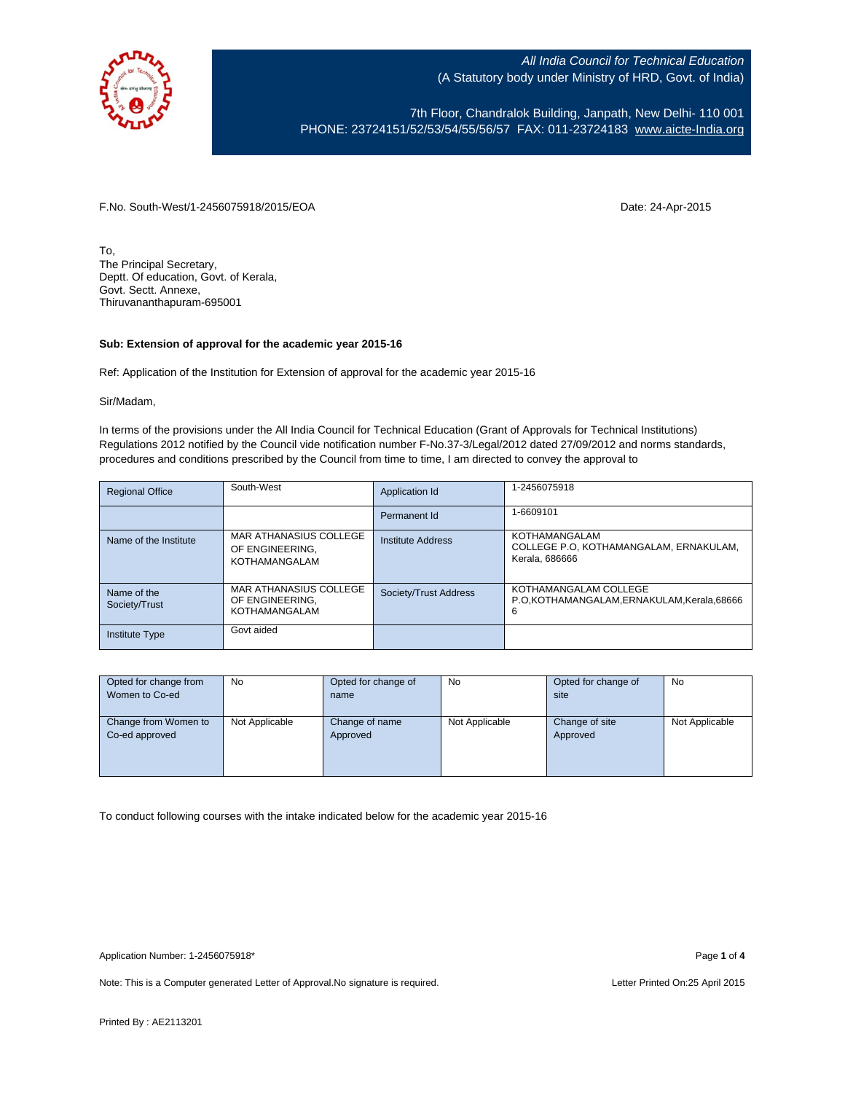

7th Floor, Chandralok Building, Janpath, New Delhi- 110 001 PHONE: 23724151/52/53/54/55/56/57 FAX: 011-23724183 [www.aicte-India.org](http://www.aicte-india.org/)

F.No. South-West/1-2456075918/2015/EOA Date: 24-Apr-2015

To, The Principal Secretary, Deptt. Of education, Govt. of Kerala, Govt. Sectt. Annexe, Thiruvananthapuram-695001

## **Sub: Extension of approval for the academic year 2015-16**

Ref: Application of the Institution for Extension of approval for the academic year 2015-16

Sir/Madam,

In terms of the provisions under the All India Council for Technical Education (Grant of Approvals for Technical Institutions) Regulations 2012 notified by the Council vide notification number F-No.37-3/Legal/2012 dated 27/09/2012 and norms standards, procedures and conditions prescribed by the Council from time to time, I am directed to convey the approval to

| <b>Regional Office</b>       | South-West                                                        | Application Id        | 1-2456075918                                                              |
|------------------------------|-------------------------------------------------------------------|-----------------------|---------------------------------------------------------------------------|
|                              |                                                                   | Permanent Id          | 1-6609101                                                                 |
| Name of the Institute        | MAR ATHANASIUS COLLEGE<br>OF ENGINEERING.<br>KOTHAMANGALAM        | Institute Address     | KOTHAMANGALAM<br>COLLEGE P.O. KOTHAMANGALAM, ERNAKULAM,<br>Kerala, 686666 |
| Name of the<br>Society/Trust | MAR ATHANASIUS COLLEGE<br>OF ENGINEERING.<br><b>KOTHAMANGALAM</b> | Society/Trust Address | KOTHAMANGALAM COLLEGE<br>P.O.KOTHAMANGALAM, ERNAKULAM, Kerala, 68666<br>6 |
| Institute Type               | Govt aided                                                        |                       |                                                                           |

| Opted for change from | No             | Opted for change of | No             | Opted for change of | No             |
|-----------------------|----------------|---------------------|----------------|---------------------|----------------|
| Women to Co-ed        |                | name                |                | site                |                |
|                       |                |                     |                |                     |                |
| Change from Women to  | Not Applicable | Change of name      | Not Applicable | Change of site      | Not Applicable |
| Co-ed approved        |                | Approved            |                | Approved            |                |
|                       |                |                     |                |                     |                |
|                       |                |                     |                |                     |                |
|                       |                |                     |                |                     |                |

To conduct following courses with the intake indicated below for the academic year 2015-16

Note: This is a Computer generated Letter of Approval. No signature is required. Letter Printed On:25 April 2015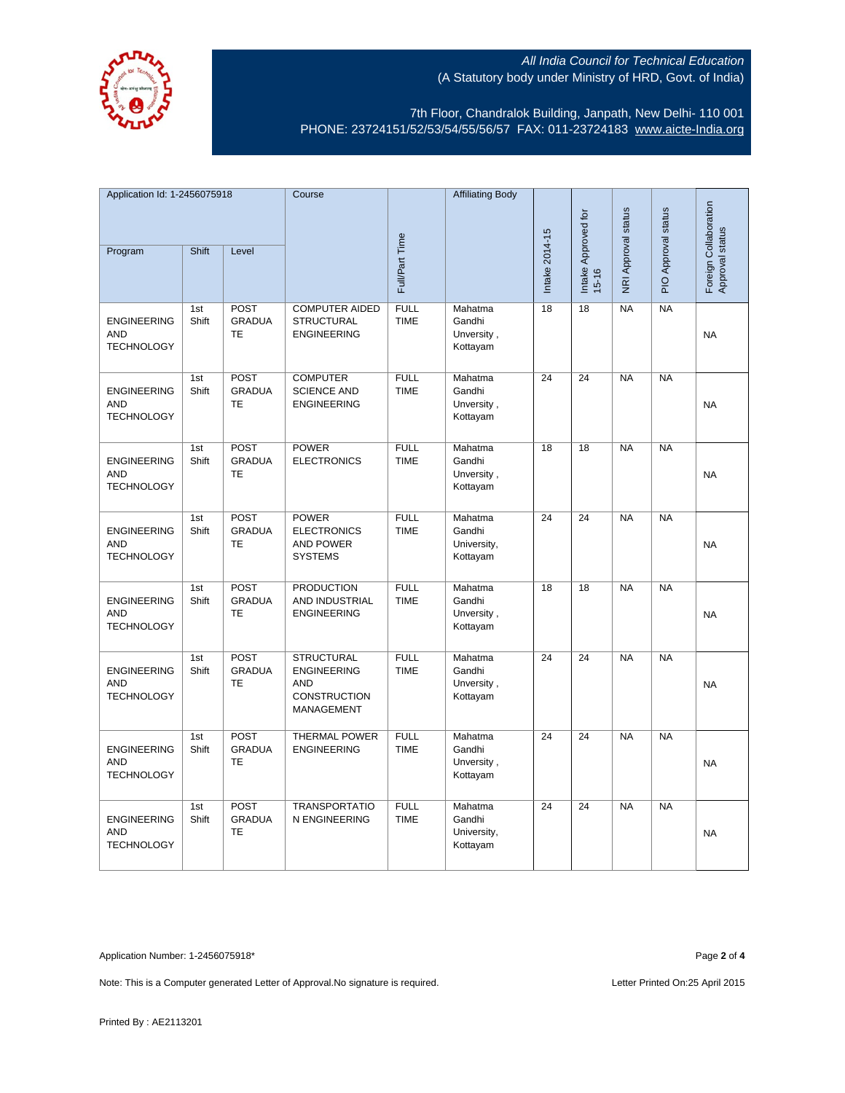

7th Floor, Chandralok Building, Janpath, New Delhi- 110 001 PHONE: 23724151/52/53/54/55/56/57 FAX: 011-23724183 [www.aicte-India.org](http://www.aicte-india.org/)

| Application Id: 1-2456075918                          |              | Course                                    |                                                                                            | <b>Affiliating Body</b>    |                                              |                     |                            |                     |                                          |           |
|-------------------------------------------------------|--------------|-------------------------------------------|--------------------------------------------------------------------------------------------|----------------------------|----------------------------------------------|---------------------|----------------------------|---------------------|------------------------------------------|-----------|
| <b>Shift</b><br>Program<br>Level                      |              |                                           |                                                                                            |                            |                                              | Intake Approved for | <b>NRI Approval status</b> | PIO Approval status | Foreign Collaboration<br>Approval status |           |
|                                                       |              |                                           |                                                                                            | Full/Part Time             |                                              | Intake 2014-15      | $15 - 16$                  |                     |                                          |           |
| <b>ENGINEERING</b><br><b>AND</b><br><b>TECHNOLOGY</b> | 1st<br>Shift | <b>POST</b><br><b>GRADUA</b><br><b>TE</b> | <b>COMPUTER AIDED</b><br><b>STRUCTURAL</b><br><b>ENGINEERING</b>                           | FULL<br><b>TIME</b>        | Mahatma<br>Gandhi<br>Unversity,<br>Kottayam  | 18                  | 18                         | <b>NA</b>           | $N_A$                                    | <b>NA</b> |
| <b>ENGINEERING</b><br><b>AND</b><br><b>TECHNOLOGY</b> | 1st<br>Shift | POST<br><b>GRADUA</b><br><b>TE</b>        | <b>COMPUTER</b><br><b>SCIENCE AND</b><br><b>ENGINEERING</b>                                | <b>FULL</b><br><b>TIME</b> | Mahatma<br>Gandhi<br>Unversity,<br>Kottayam  | 24                  | $\overline{24}$            | N <sub>A</sub>      | $N_A$                                    | <b>NA</b> |
| <b>ENGINEERING</b><br><b>AND</b><br><b>TECHNOLOGY</b> | 1st<br>Shift | <b>POST</b><br><b>GRADUA</b><br><b>TE</b> | <b>POWER</b><br><b>ELECTRONICS</b>                                                         | <b>FULL</b><br><b>TIME</b> | Mahatma<br>Gandhi<br>Unversity,<br>Kottayam  | 18                  | 18                         | <b>NA</b>           | <b>NA</b>                                | <b>NA</b> |
| <b>ENGINEERING</b><br><b>AND</b><br><b>TECHNOLOGY</b> | 1st<br>Shift | POST<br><b>GRADUA</b><br><b>TE</b>        | <b>POWER</b><br><b>ELECTRONICS</b><br><b>AND POWER</b><br><b>SYSTEMS</b>                   | <b>FULL</b><br><b>TIME</b> | Mahatma<br>Gandhi<br>University,<br>Kottayam | $\overline{24}$     | $\overline{24}$            | NA                  | $N_A$                                    | <b>NA</b> |
| <b>ENGINEERING</b><br><b>AND</b><br><b>TECHNOLOGY</b> | 1st<br>Shift | POST<br><b>GRADUA</b><br><b>TE</b>        | <b>PRODUCTION</b><br>AND INDUSTRIAL<br><b>ENGINEERING</b>                                  | <b>FULL</b><br><b>TIME</b> | Mahatma<br>Gandhi<br>Unversity,<br>Kottayam  | 18                  | 18                         | <b>NA</b>           | <b>NA</b>                                | <b>NA</b> |
| <b>ENGINEERING</b><br><b>AND</b><br><b>TECHNOLOGY</b> | 1st<br>Shift | <b>POST</b><br><b>GRADUA</b><br><b>TE</b> | <b>STRUCTURAL</b><br><b>ENGINEERING</b><br><b>AND</b><br><b>CONSTRUCTION</b><br>MANAGEMENT | <b>FULL</b><br><b>TIME</b> | Mahatma<br>Gandhi<br>Unversity,<br>Kottayam  | 24                  | 24                         | <b>NA</b>           | $N_A$                                    | <b>NA</b> |
| <b>ENGINEERING</b><br><b>AND</b><br><b>TECHNOLOGY</b> | 1st<br>Shift | POST<br><b>GRADUA</b><br><b>TE</b>        | <b>THERMAL POWER</b><br><b>ENGINEERING</b>                                                 | <b>FULL</b><br><b>TIME</b> | Mahatma<br>Gandhi<br>Unversity,<br>Kottayam  | $\overline{24}$     | 24                         | NA                  | $\overline{\mathsf{NA}}$                 | <b>NA</b> |
| <b>ENGINEERING</b><br><b>AND</b><br><b>TECHNOLOGY</b> | 1st<br>Shift | <b>POST</b><br><b>GRADUA</b><br>TE        | <b>TRANSPORTATIO</b><br>N ENGINEERING                                                      | <b>FULL</b><br><b>TIME</b> | Mahatma<br>Gandhi<br>University,<br>Kottayam | 24                  | 24                         | <b>NA</b>           | <b>NA</b>                                | <b>NA</b> |

Application Number: 1-2456075918\* Page **2** of **4**

Note: This is a Computer generated Letter of Approval. No signature is required. Letter Printed On:25 April 2015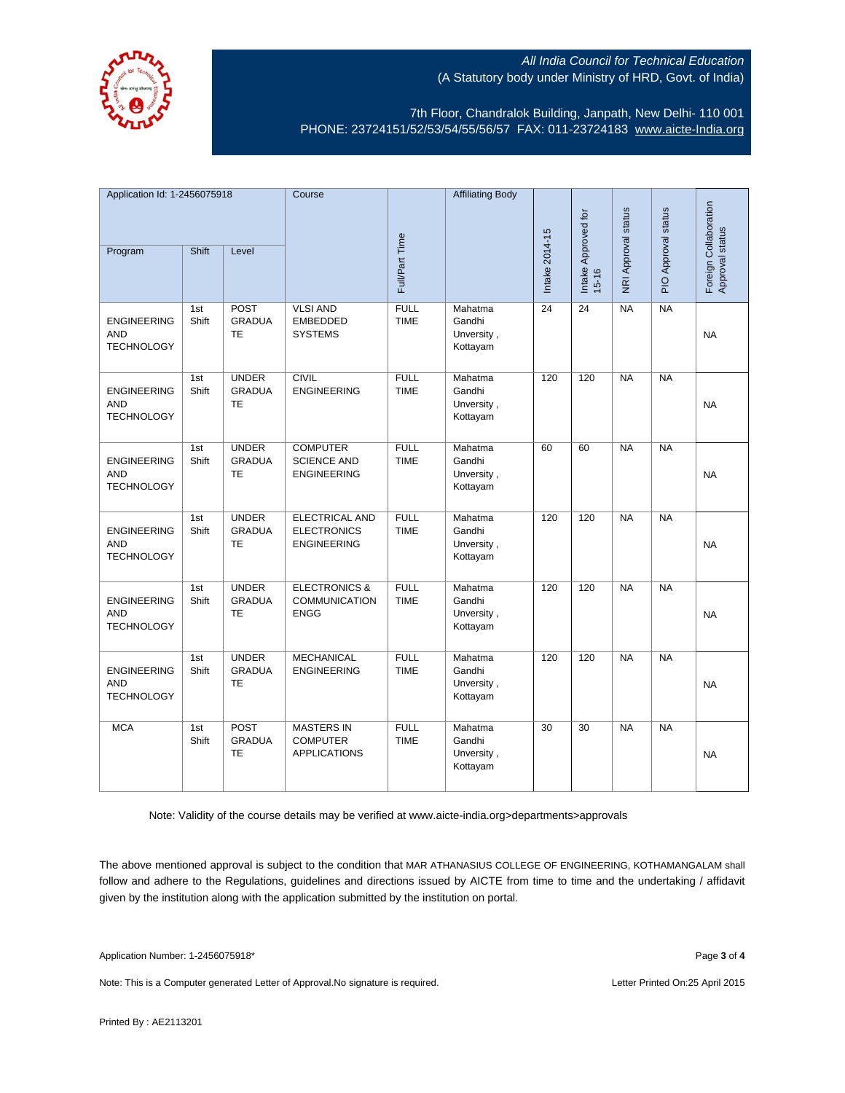

7th Floor, Chandralok Building, Janpath, New Delhi- 110 001 PHONE: 23724151/52/53/54/55/56/57 FAX: 011-23724183 [www.aicte-India.org](http://www.aicte-india.org/)

| Application Id: 1-2456075918                          |              | Course                                     |                                                                   | <b>Affiliating Body</b>    |                                             |                |                                  |                     |                     |                                          |
|-------------------------------------------------------|--------------|--------------------------------------------|-------------------------------------------------------------------|----------------------------|---------------------------------------------|----------------|----------------------------------|---------------------|---------------------|------------------------------------------|
| Program                                               | Shift        | Level                                      |                                                                   | Full/Part Time             |                                             | Intake 2014-15 | Intake Approved for<br>$15 - 16$ | NRI Approval status | PIO Approval status | Foreign Collaboration<br>Approval status |
| <b>ENGINEERING</b><br><b>AND</b><br><b>TECHNOLOGY</b> | 1st<br>Shift | <b>POST</b><br><b>GRADUA</b><br><b>TE</b>  | <b>VLSI AND</b><br><b>EMBEDDED</b><br><b>SYSTEMS</b>              | <b>FULL</b><br><b>TIME</b> | Mahatma<br>Gandhi<br>Unversity,<br>Kottayam | 24             | 24                               | <b>NA</b>           | <b>NA</b>           | <b>NA</b>                                |
| <b>ENGINEERING</b><br><b>AND</b><br><b>TECHNOLOGY</b> | 1st<br>Shift | <b>UNDER</b><br><b>GRADUA</b><br><b>TE</b> | <b>CIVIL</b><br><b>ENGINEERING</b>                                | <b>FULL</b><br><b>TIME</b> | Mahatma<br>Gandhi<br>Unversity,<br>Kottayam | 120            | 120                              | NA                  | <b>NA</b>           | <b>NA</b>                                |
| <b>ENGINEERING</b><br><b>AND</b><br><b>TECHNOLOGY</b> | 1st<br>Shift | <b>UNDER</b><br><b>GRADUA</b><br><b>TE</b> | <b>COMPUTER</b><br><b>SCIENCE AND</b><br><b>ENGINEERING</b>       | <b>FULL</b><br><b>TIME</b> | Mahatma<br>Gandhi<br>Unversity,<br>Kottayam | 60             | 60                               | <b>NA</b>           | <b>NA</b>           | <b>NA</b>                                |
| <b>ENGINEERING</b><br><b>AND</b><br><b>TECHNOLOGY</b> | 1st<br>Shift | <b>UNDER</b><br><b>GRADUA</b><br><b>TE</b> | <b>ELECTRICAL AND</b><br><b>ELECTRONICS</b><br><b>ENGINEERING</b> | <b>FULL</b><br><b>TIME</b> | Mahatma<br>Gandhi<br>Unversity,<br>Kottayam | 120            | 120                              | <b>NA</b>           | <b>NA</b>           | <b>NA</b>                                |
| <b>ENGINEERING</b><br><b>AND</b><br><b>TECHNOLOGY</b> | 1st<br>Shift | <b>UNDER</b><br><b>GRADUA</b><br><b>TE</b> | <b>ELECTRONICS &amp;</b><br><b>COMMUNICATION</b><br><b>ENGG</b>   | <b>FULL</b><br><b>TIME</b> | Mahatma<br>Gandhi<br>Unversity,<br>Kottayam | 120            | 120                              | NA                  | NA                  | <b>NA</b>                                |
| <b>ENGINEERING</b><br><b>AND</b><br><b>TECHNOLOGY</b> | 1st<br>Shift | <b>UNDER</b><br><b>GRADUA</b><br><b>TE</b> | <b>MECHANICAL</b><br><b>ENGINEERING</b>                           | <b>FULL</b><br><b>TIME</b> | Mahatma<br>Gandhi<br>Unversity,<br>Kottayam | 120            | 120                              | <b>NA</b>           | <b>NA</b>           | <b>NA</b>                                |
| <b>MCA</b>                                            | 1st<br>Shift | <b>POST</b><br><b>GRADUA</b><br><b>TE</b>  | <b>MASTERS IN</b><br><b>COMPUTER</b><br><b>APPLICATIONS</b>       | <b>FULL</b><br><b>TIME</b> | Mahatma<br>Gandhi<br>Unversity,<br>Kottayam | 30             | 30                               | <b>NA</b>           | <b>NA</b>           | <b>NA</b>                                |

Note: Validity of the course details may be verified at www.aicte-india.org>departments>approvals

The above mentioned approval is subject to the condition that MAR ATHANASIUS COLLEGE OF ENGINEERING, KOTHAMANGALAM shall follow and adhere to the Regulations, guidelines and directions issued by AICTE from time to time and the undertaking / affidavit given by the institution along with the application submitted by the institution on portal.

Note: This is a Computer generated Letter of Approval.No signature is required. Letter Printed On:25 April 2015